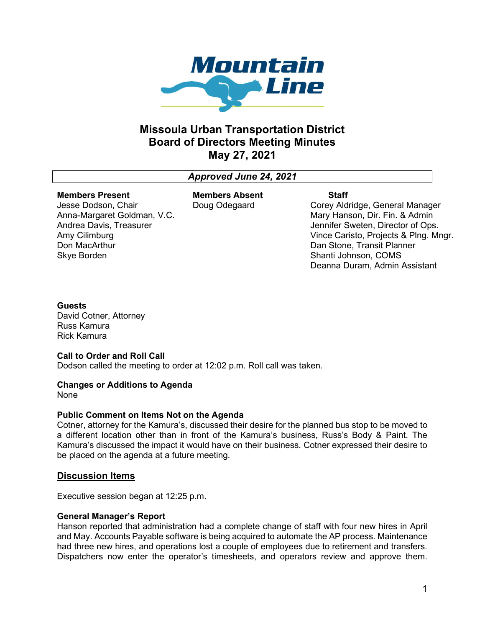

# Missoula Urban Transportation District Board of Directors Meeting Minutes May 27, 2021

## Approved June 24, 2021

#### Members Present Jesse Dodson, Chair

Amy Cilimburg Don MacArthur Skye Borden

Anna-Margaret Goldman, V.C. Andrea Davis, Treasurer

Members Absent Doug Odegaard

#### **Staff**

Corey Aldridge, General Manager Mary Hanson, Dir. Fin. & Admin Jennifer Sweten, Director of Ops. Vince Caristo, Projects & Plng. Mngr. Dan Stone, Transit Planner Shanti Johnson, COMS Deanna Duram, Admin Assistant

### **Guests**

David Cotner, Attorney Russ Kamura Rick Kamura

## Call to Order and Roll Call

Dodson called the meeting to order at 12:02 p.m. Roll call was taken.

## Changes or Additions to Agenda

None

#### Public Comment on Items Not on the Agenda

Cotner, attorney for the Kamura's, discussed their desire for the planned bus stop to be moved to a different location other than in front of the Kamura's business, Russ's Body & Paint. The Kamura's discussed the impact it would have on their business. Cotner expressed their desire to be placed on the agenda at a future meeting.

## Discussion Items

Executive session began at 12:25 p.m.

#### General Manager's Report

Hanson reported that administration had a complete change of staff with four new hires in April and May. Accounts Payable software is being acquired to automate the AP process. Maintenance had three new hires, and operations lost a couple of employees due to retirement and transfers. Dispatchers now enter the operator's timesheets, and operators review and approve them.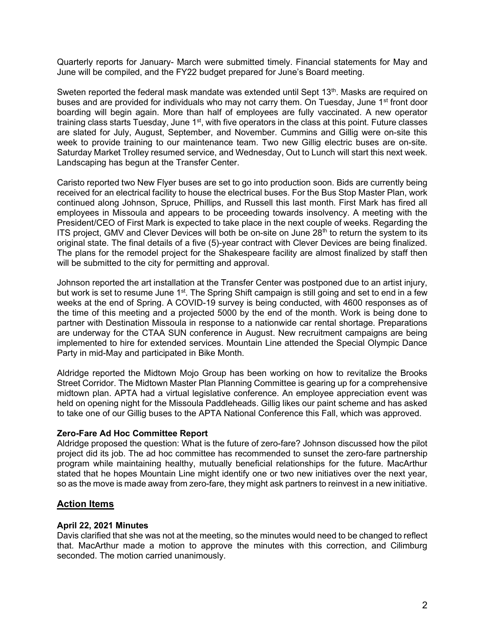Quarterly reports for January- March were submitted timely. Financial statements for May and June will be compiled, and the FY22 budget prepared for June's Board meeting.

Sweten reported the federal mask mandate was extended until Sept 13<sup>th</sup>. Masks are required on buses and are provided for individuals who may not carry them. On Tuesday, June 1<sup>st</sup> front door boarding will begin again. More than half of employees are fully vaccinated. A new operator training class starts Tuesday, June 1<sup>st</sup>, with five operators in the class at this point. Future classes are slated for July, August, September, and November. Cummins and Gillig were on-site this week to provide training to our maintenance team. Two new Gillig electric buses are on-site. Saturday Market Trolley resumed service, and Wednesday, Out to Lunch will start this next week. Landscaping has begun at the Transfer Center.

Caristo reported two New Flyer buses are set to go into production soon. Bids are currently being received for an electrical facility to house the electrical buses. For the Bus Stop Master Plan, work continued along Johnson, Spruce, Phillips, and Russell this last month. First Mark has fired all employees in Missoula and appears to be proceeding towards insolvency. A meeting with the President/CEO of First Mark is expected to take place in the next couple of weeks. Regarding the ITS project, GMV and Clever Devices will both be on-site on June  $28<sup>th</sup>$  to return the system to its original state. The final details of a five (5)-year contract with Clever Devices are being finalized. The plans for the remodel project for the Shakespeare facility are almost finalized by staff then will be submitted to the city for permitting and approval.

Johnson reported the art installation at the Transfer Center was postponed due to an artist injury, but work is set to resume June 1<sup>st</sup>. The Spring Shift campaign is still going and set to end in a few weeks at the end of Spring. A COVID-19 survey is being conducted, with 4600 responses as of the time of this meeting and a projected 5000 by the end of the month. Work is being done to partner with Destination Missoula in response to a nationwide car rental shortage. Preparations are underway for the CTAA SUN conference in August. New recruitment campaigns are being implemented to hire for extended services. Mountain Line attended the Special Olympic Dance Party in mid-May and participated in Bike Month.

Aldridge reported the Midtown Mojo Group has been working on how to revitalize the Brooks Street Corridor. The Midtown Master Plan Planning Committee is gearing up for a comprehensive midtown plan. APTA had a virtual legislative conference. An employee appreciation event was held on opening night for the Missoula Paddleheads. Gillig likes our paint scheme and has asked to take one of our Gillig buses to the APTA National Conference this Fall, which was approved.

## Zero-Fare Ad Hoc Committee Report

Aldridge proposed the question: What is the future of zero-fare? Johnson discussed how the pilot project did its job. The ad hoc committee has recommended to sunset the zero-fare partnership program while maintaining healthy, mutually beneficial relationships for the future. MacArthur stated that he hopes Mountain Line might identify one or two new initiatives over the next year, so as the move is made away from zero-fare, they might ask partners to reinvest in a new initiative.

## Action Items

#### April 22, 2021 Minutes

Davis clarified that she was not at the meeting, so the minutes would need to be changed to reflect that. MacArthur made a motion to approve the minutes with this correction, and Cilimburg seconded. The motion carried unanimously.